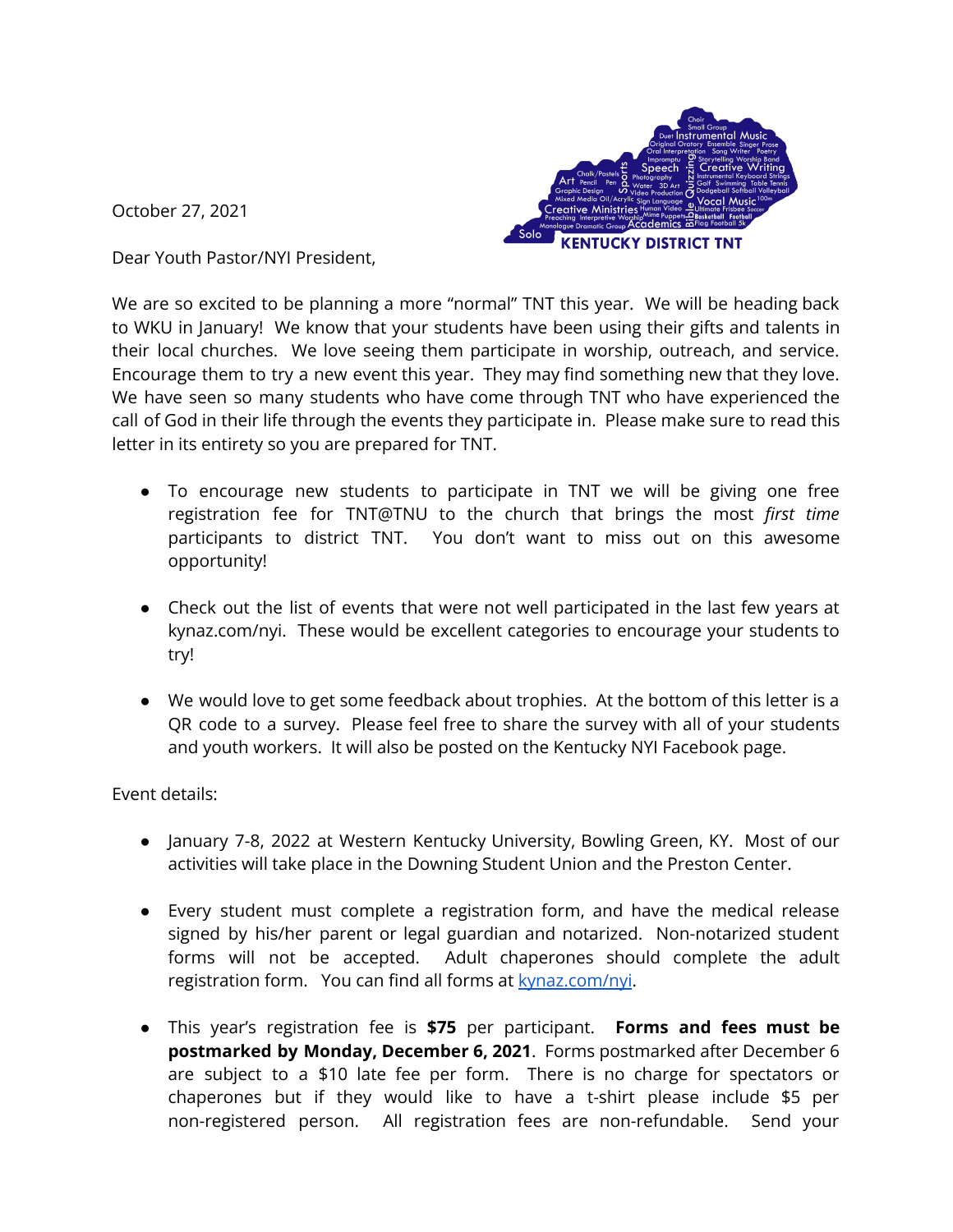October 27, 2021



Dear Youth Pastor/NYI President,

We are so excited to be planning a more "normal" TNT this year. We will be heading back to WKU in January! We know that your students have been using their gifts and talents in their local churches. We love seeing them participate in worship, outreach, and service. Encourage them to try a new event this year. They may find something new that they love. We have seen so many students who have come through TNT who have experienced the call of God in their life through the events they participate in. Please make sure to read this letter in its entirety so you are prepared for TNT.

- To encourage new students to participate in TNT we will be giving one free registration fee for TNT@TNU to the church that brings the most *first time* participants to district TNT. You don't want to miss out on this awesome opportunity!
- Check out the list of events that were not well participated in the last few years at kynaz.com/nyi. These would be excellent categories to encourage your students to try!
- We would love to get some feedback about trophies. At the bottom of this letter is a QR code to a survey. Please feel free to share the survey with all of your students and youth workers. It will also be posted on the Kentucky NYI Facebook page.

Event details:

- January 7-8, 2022 at Western Kentucky University, Bowling Green, KY. Most of our activities will take place in the Downing Student Union and the Preston Center.
- Every student must complete a registration form, and have the medical release signed by his/her parent or legal guardian and notarized. Non-notarized student forms will not be accepted. Adult chaperones should complete the adult registration form. You can find all forms at [kynaz.com/nyi](http://kynaz.com/nyi).
- This year's registration fee is **\$75** per participant. **Forms and fees must be postmarked by Monday, December 6, 2021**. Forms postmarked after December 6 are subject to a \$10 late fee per form. There is no charge for spectators or chaperones but if they would like to have a t-shirt please include \$5 per non-registered person. All registration fees are non-refundable. Send your